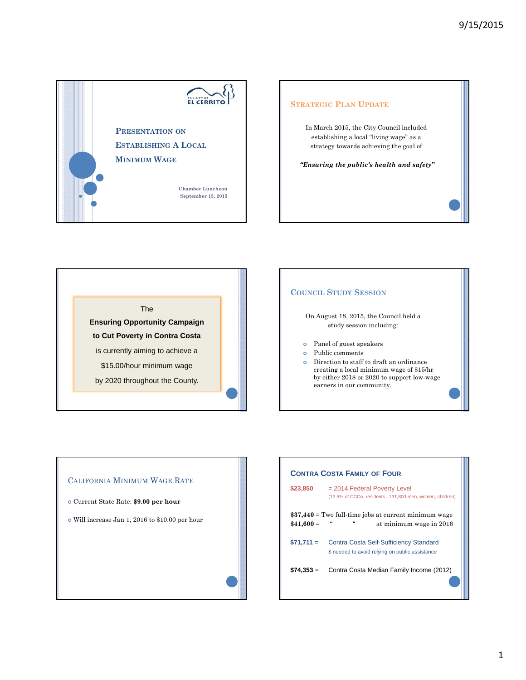





# **COUNCIL STUDY SESSION** On August 18, 2015, the Council held a study session including: Panel of guest speakers Public comments Direction to staff to draft an ordinance creating a local minimum wage of \$15/hr by either 2018 or 2020 to support low-wage earners in our community.

# CALIFORNIA MINIMUM WAGE RATE Current State Rate: **\$9.00 per hour** Will increase Jan 1, 2016 to \$10.00 per hour

|             | <b>CONTRA COSTA FAMILY OF FOUR</b>                                                                            |
|-------------|---------------------------------------------------------------------------------------------------------------|
| \$23,850    | $= 2014$ Federal Poverty Level<br>(12.5% of CCCo. residents -131,800 men, women, children)                    |
| $$41,600 =$ | $$37,440 =$ Two full-time jobs at current minimum wage<br>$\epsilon$<br>$\epsilon$<br>at minimum wage in 2016 |
| $$71,711 =$ | Contra Costa Self-Sufficiency Standard<br>\$ needed to avoid relying on public assistance                     |
| $$74.353 =$ | Contra Costa Median Family Income (2012)                                                                      |
|             |                                                                                                               |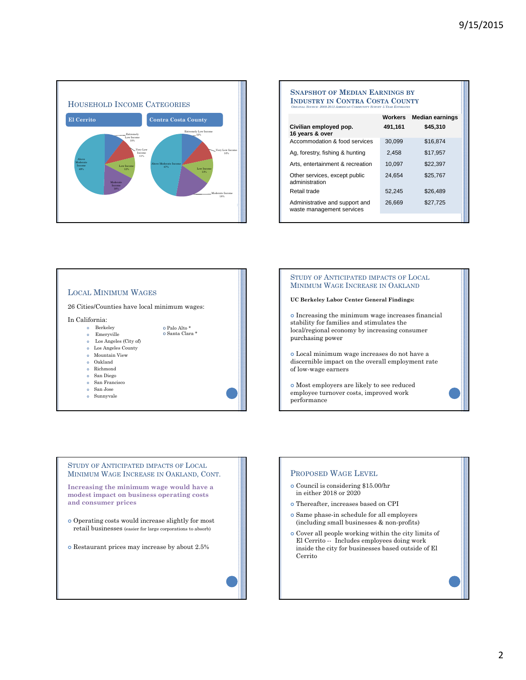

|                                                             | <b>Workers</b> | <b>Median earnings</b> |  |  |
|-------------------------------------------------------------|----------------|------------------------|--|--|
| Civilian employed pop.<br>16 years & over                   | 491,161        | \$45,310               |  |  |
| Accommodation & food services                               | 30.099         | \$16,874               |  |  |
| Ag, forestry, fishing & hunting                             | 2,458          | \$17,957               |  |  |
| Arts, entertainment & recreation                            | 10.097         | \$22,397               |  |  |
| Other services, except public<br>administration             | 24.654         | \$25.767               |  |  |
| Retail trade                                                | 52,245         | \$26,489               |  |  |
| Administrative and support and<br>waste management services | 26,669         | \$27,725               |  |  |



### STUDY OF ANTICIPATED IMPACTS OF LOCAL MINIMUM WAGE INCREASE IN OAKLAND

#### **UC Berkeley Labor Center General Findings:**

 Increasing the minimum wage increases financial stability for families and stimulates the local/regional economy by increasing consumer purchasing power

 Local minimum wage increases do not have a discernible impact on the overall employment rate of low-wage earners

 Most employers are likely to see reduced employee turnover costs, improved work performance

# STUDY OF ANTICIPATED IMPACTS OF LOCAL MINIMUM WAGE INCREASE IN OAKLAND, CONT. **Increasing the minimum wage would have a modest impact on business operating costs and consumer prices** Operating costs would increase slightly for most retail businesses (easier for large corporations to absorb) Restaurant prices may increase by about 2.5%

#### PROPOSED WAGE LEVEL

- Council is considering \$15.00/hr in either 2018 or 2020
- Thereafter, increases based on CPI
- Same phase-in schedule for all employers (including small businesses & non-profits)
- $\bullet$  Cover all people working within the city limits of El Cerrito -- Includes employees doing work inside the city for businesses based outside of El Cerrito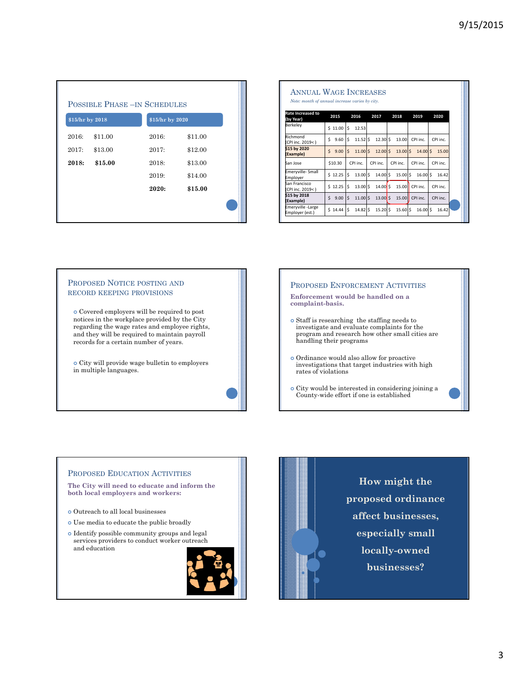|                 | <b>POSSIBLE PHASE -IN SCHEDULES</b> |                 |         |
|-----------------|-------------------------------------|-----------------|---------|
| \$15/hr by 2018 |                                     | \$15/hr by 2020 |         |
| 2016:           | \$11.00                             | 2016:           | \$11.00 |
| 2017:           | \$13.00                             | 2017:           | \$12.00 |
| 2018:           | \$15.00                             | 2018:           | \$13.00 |
|                 |                                     | 2019:           | \$14.00 |
|                 |                                     | 2020:           | \$15.00 |
|                 |                                     |                 |         |

| Note: month of annual increase varies by city. |                      |           |                     |                                         |              |                     |                   |          |          |  |
|------------------------------------------------|----------------------|-----------|---------------------|-----------------------------------------|--------------|---------------------|-------------------|----------|----------|--|
| Rate Increased to<br>(by Year)                 | 2015                 |           | 2016                | 2017                                    |              | 2018                | 2019              | 2020     |          |  |
| Berkeley                                       | $$11.00$ $$$         |           | 12.53               |                                         |              |                     |                   |          |          |  |
| Richmond<br>(CPI inc. 2019<)                   | Ś.<br>9.60           | Ś.        | $11.52$ \$          |                                         | $12.30 \,$ S | 13.00               | CPI inc.          | CPI inc. |          |  |
| \$15 by 2020<br>(Example)                      | $\mathsf{S}$<br>9.00 | $\vert$ s |                     | $11.00 \, \text{S}$ $12.00 \, \text{S}$ |              | $13.00 \, \text{S}$ | $14.00 \text{ S}$ |          | 15.00    |  |
| San Jose                                       | \$10.30              | CPI inc.  |                     | CPI inc.                                |              | CPI inc.            | CPI inc.          |          | CPI inc. |  |
| Emeryville- Small<br>Employer                  | $$12.25$ S           |           | $13.00\,\mathrm{s}$ |                                         | 14.00 \$     | $15.00 \,$ \$       | $16.00$ \$        |          | 16.42    |  |
| San Francisco<br>(CPI inc. 2019<)              | \$12.25              | Ś.        | $13.00$ \$          |                                         | $14.00$ S    | 15.00               | CPI inc.          |          | CPI inc. |  |
| \$15 by 2018<br>(Example)                      | Ś.<br>$9.00$ S       |           | $11.00$ \$          |                                         | $13.00$ \$   |                     | 15.00 CPI inc.    |          | CPI inc. |  |
| Emeryville -Large<br>Employer (est.)           | $$14.44$ $$$         |           | $14.82 \,$ \$       |                                         | $15.20$ S    | $15.60$ S           | $16.00$ \$        |          | 16.42    |  |

#### PROPOSED NOTICE POSTING AND RECORD KEEPING PROVISIONS Covered employers will be required to post notices in the workplace provided by the City regarding the wage rates and employee rights, and they will be required to maintain payroll records for a certain number of years. City will provide wage bulletin to employers in multiple languages. PROPOSED ENFORCEMENT ACTIVITIES **Enforcement would be handled on a complaint-basis.**  $\bullet$  Staff is researching the staffing needs to investigate and evaluate complaints for the program and research how other small cities are handling their programs Ordinance would also allow for proactive investigations that target industries with high rates of violations  $\bullet$  City would be interested in considering joining a County-wide effort if one is established

## PROPOSED EDUCATION ACTIVITIES

**The City will need to educate and inform the both local employers and workers:**

- Outreach to all local businesses
- Use media to educate the public broadly
- $\bullet$  Identify possible community groups and legal services providers to conduct worker outreach and education



**How might the proposed ordinance affect businesses, especially small locally-owned businesses?**